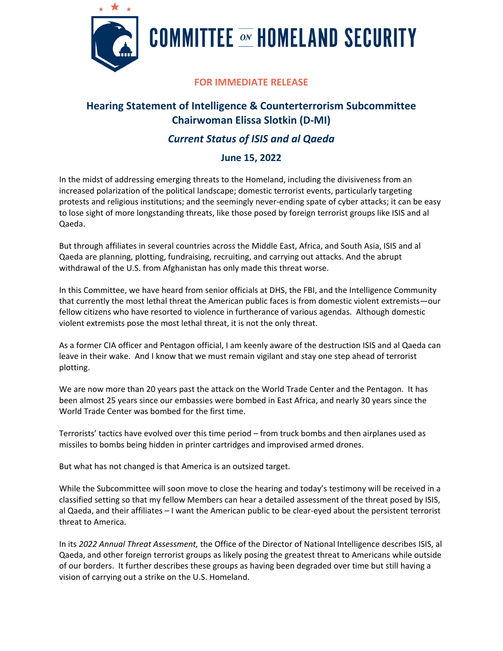

# **COMMITTEE**  $\overline{\infty}$  **HOMELAND SECURITY**

### **FOR IMMEDIATE RELEASE**

## **Hearing Statement of Intelligence & Counterterrorism Subcommittee Chairwoman Elissa Slotkin (D-MI)**

## *Current Status of ISIS and al Qaeda*

### **June 15, 2022**

In the midst of addressing emerging threats to the Homeland, including the divisiveness from an increased polarization of the political landscape; domestic terrorist events, particularly targeting protests and religious institutions; and the seemingly never-ending spate of cyber attacks; it can be easy to lose sight of more longstanding threats, like those posed by foreign terrorist groups like ISIS and al Qaeda.

But through affiliates in several countries across the Middle East, Africa, and South Asia, ISIS and al Qaeda are planning, plotting, fundraising, recruiting, and carrying out attacks. And the abrupt withdrawal of the U.S. from Afghanistan has only made this threat worse.

In this Committee, we have heard from senior officials at DHS, the FBI, and the Intelligence Community that currently the most lethal threat the American public faces is from domestic violent extremists—our fellow citizens who have resorted to violence in furtherance of various agendas. Although domestic violent extremists pose the most lethal threat, it is not the only threat.

As a former CIA officer and Pentagon official, I am keenly aware of the destruction ISIS and al Qaeda can leave in their wake. And I know that we must remain vigilant and stay one step ahead of terrorist plotting.

We are now more than 20 years past the attack on the World Trade Center and the Pentagon. It has been almost 25 years since our embassies were bombed in East Africa, and nearly 30 years since the World Trade Center was bombed for the first time.

Terrorists' tactics have evolved over this time period – from truck bombs and then airplanes used as missiles to bombs being hidden in printer cartridges and improvised armed drones.

But what has not changed is that America is an outsized target.

While the Subcommittee will soon move to close the hearing and today's testimony will be received in a classified setting so that my fellow Members can hear a detailed assessment of the threat posed by ISIS, al Qaeda, and their affiliates – I want the American public to be clear-eyed about the persistent terrorist threat to America.

In its *2022 Annual Threat Assessment,* the Office of the Director of National Intelligence describes ISIS, al Qaeda, and other foreign terrorist groups as likely posing the greatest threat to Americans while outside of our borders. It further describes these groups as having been degraded over time but still having a vision of carrying out a strike on the U.S. Homeland.